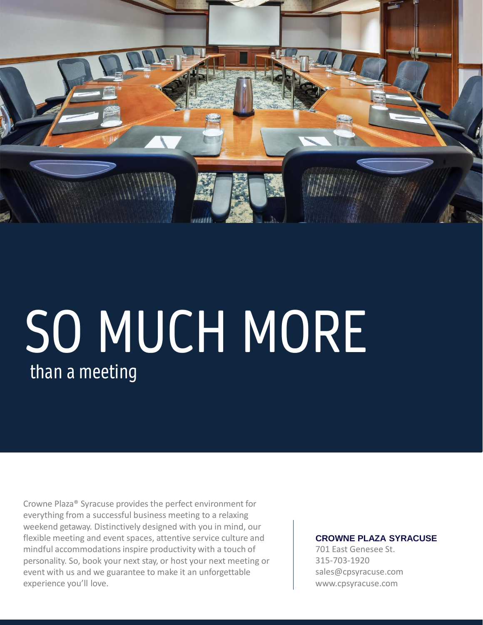

# than a meeting SO MUCH MORE

Crowne Plaza® Syracuse provides the perfect environment for everything from a successful business meeting to a relaxing weekend getaway. Distinctively designed with you in mind, our flexible meeting and event spaces, attentive service culture and mindful accommodations inspire productivity with a touch of personality. So, book your next stay, or host your next meeting or event with us and we guarantee to make it an unforgettable experience you'll love.

#### **CROWNE PLAZA SYRACUSE**

701 East Genesee St. 315-703-1920 sales@cpsyracuse.com www.cpsyracuse.com